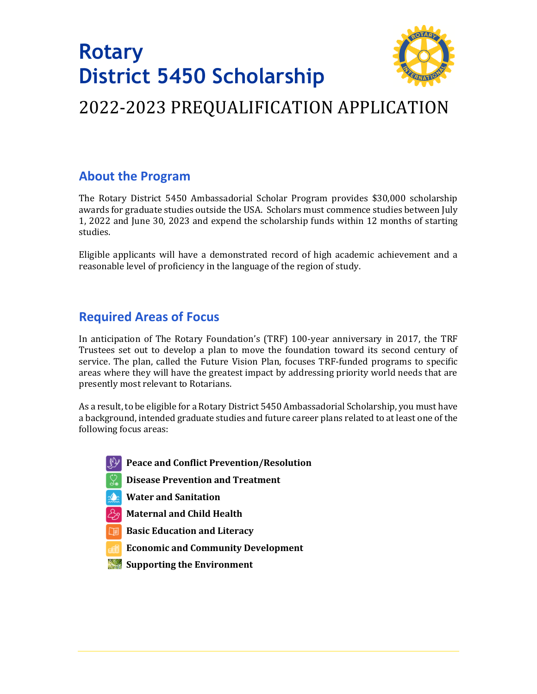# **Rotary District 5450 Scholarship**



## 2022-2023 PREQUALIFICATION APPLICATION

### **About the Program**

The Rotary District 5450 Ambassadorial Scholar Program provides \$30,000 scholarship awards for graduate studies outside the USA. Scholars must commence studies between July 1, 2022 and June 30, 2023 and expend the scholarship funds within 12 months of starting studies.

Eligible applicants will have a demonstrated record of high academic achievement and a reasonable level of proficiency in the language of the region of study.

### **Required Areas of Focus**

In anticipation of The Rotary Foundation's (TRF) 100-year anniversary in 2017, the TRF Trustees set out to develop a plan to move the foundation toward its second century of service. The plan, called the Future Vision Plan, focuses TRF-funded programs to specific areas where they will have the greatest impact by addressing priority world needs that are presently most relevant to Rotarians.

As a result, to be eligible for a Rotary District 5450 Ambassadorial Scholarship, you must have a background, intended graduate studies and future career plans related to at least one of the following focus areas:

- **1. Peace and Conflict Prevention/Resolution**
- **2. Disease Prevention and Treatment**
- **3. Water and Sanitation**
- **4. Maternal and Child Health**
- **5. Basic Education and Literacy**
- **6. Economic and Community Development**
- *Supporting the Environment*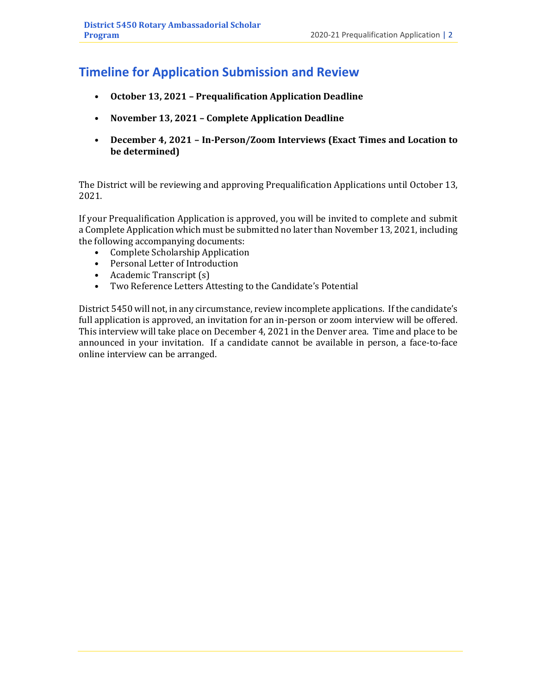### **Timeline for Application Submission and Review**

- **October 13, 2021 – Prequalification Application Deadline**
- **November 13, 2021 – Complete Application Deadline**
- **December 4, 2021 – In-Person/Zoom Interviews (Exact Times and Location to be determined)**

The District will be reviewing and approving Prequalification Applications until October 13, 2021.

If your Prequalification Application is approved, you will be invited to complete and submit a Complete Application which must be submitted no later than November 13, 2021, including the following accompanying documents:

- Complete Scholarship Application
- Personal Letter of Introduction
- Academic Transcript (s)
- Two Reference Letters Attesting to the Candidate's Potential

District 5450 will not, in any circumstance, review incomplete applications. If the candidate's full application is approved, an invitation for an in-person or zoom interview will be offered. This interview will take place on December 4, 2021 in the Denver area. Time and place to be announced in your invitation. If a candidate cannot be available in person, a face-to-face online interview can be arranged.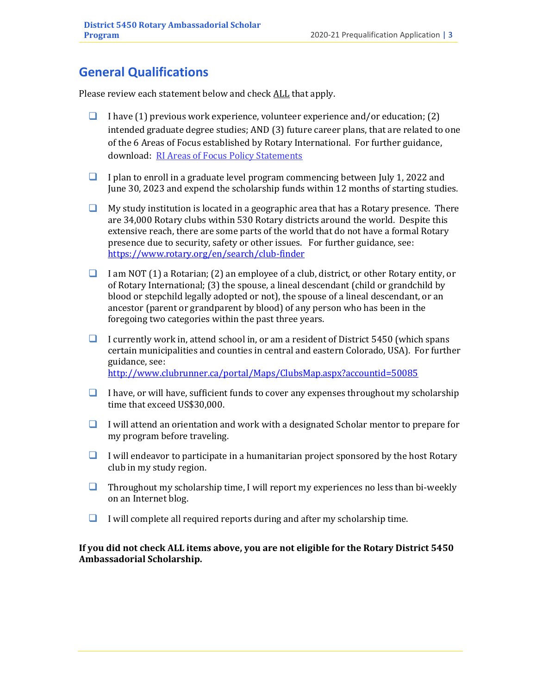### **General Qualifications**

Please review each statement below and check ALL that apply.

- $\Box$  I have (1) previous work experience, volunteer experience and/or education; (2) intended graduate degree studies; AND (3) future career plans, that are related to one of the 6 Areas of Focus established by Rotary International. For further guidance, download: [RI Areas of Focus Policy Statements](https://www.rotary.org/en/document/595)
- $\Box$  I plan to enroll in a graduate level program commencing between July 1, 2022 and June 30, 2023 and expend the scholarship funds within 12 months of starting studies.
- $\Box$  My study institution is located in a geographic area that has a Rotary presence. There are 34,000 Rotary clubs within 530 Rotary districts around the world. Despite this extensive reach, there are some parts of the world that do not have a formal Rotary presence due to security, safety or other issues. For further guidance, see: <https://www.rotary.org/en/search/club-finder>
- ❑ I am NOT (1) a Rotarian; (2) an employee of a club, district, or other Rotary entity, or of Rotary International; (3) the spouse, a lineal descendant (child or grandchild by blood or stepchild legally adopted or not), the spouse of a lineal descendant, or an ancestor (parent or grandparent by blood) of any person who has been in the foregoing two categories within the past three years.
- ❑ I currently work in, attend school in, or am a resident of District 5450 (which spans certain municipalities and counties in central and eastern Colorado, USA). For further guidance, see: <http://www.clubrunner.ca/portal/Maps/ClubsMap.aspx?accountid=50085>

- $\Box$  I have, or will have, sufficient funds to cover any expenses throughout my scholarship time that exceed US\$30,000.
- $\Box$  I will attend an orientation and work with a designated Scholar mentor to prepare for my program before traveling.
- $\Box$  I will endeavor to participate in a humanitarian project sponsored by the host Rotary club in my study region.
- $\Box$  Throughout my scholarship time, I will report my experiences no less than bi-weekly on an Internet blog.
- $\Box$  I will complete all required reports during and after my scholarship time.

**If you did not check ALL items above, you are not eligible for the Rotary District 5450 Ambassadorial Scholarship.**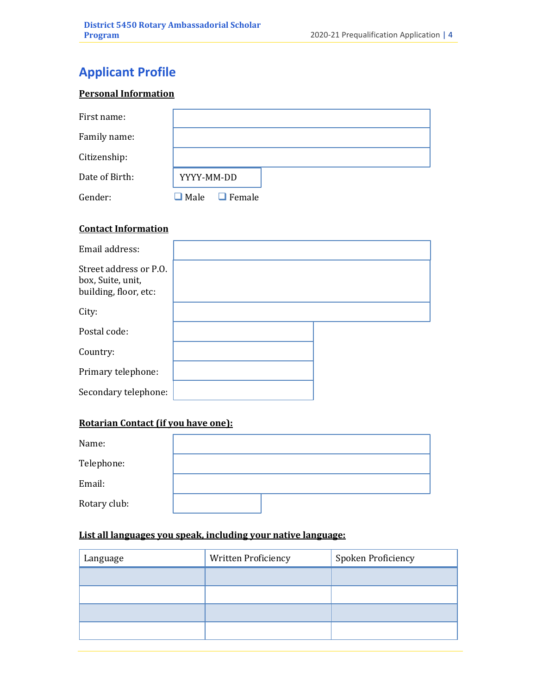### **Applicant Profile**

#### **Personal Information**

| First name:    |                       |
|----------------|-----------------------|
| Family name:   |                       |
| Citizenship:   |                       |
| Date of Birth: | YYYY-MM-DD            |
| Gender:        | $\Box$ Female<br>Male |

#### **Contact Information**

| Email address:                                                       |  |
|----------------------------------------------------------------------|--|
| Street address or P.O.<br>box, Suite, unit,<br>building, floor, etc: |  |
| City:                                                                |  |
| Postal code:                                                         |  |
| Country:                                                             |  |
| Primary telephone:                                                   |  |
| Secondary telephone:                                                 |  |

#### **Rotarian Contact (if you have one):**

| Name:        |  |  |
|--------------|--|--|
| Telephone:   |  |  |
| Email:       |  |  |
| Rotary club: |  |  |

#### **List all languages you speak, including your native language:**

| Language | Written Proficiency | Spoken Proficiency |
|----------|---------------------|--------------------|
|          |                     |                    |
|          |                     |                    |
|          |                     |                    |
|          |                     |                    |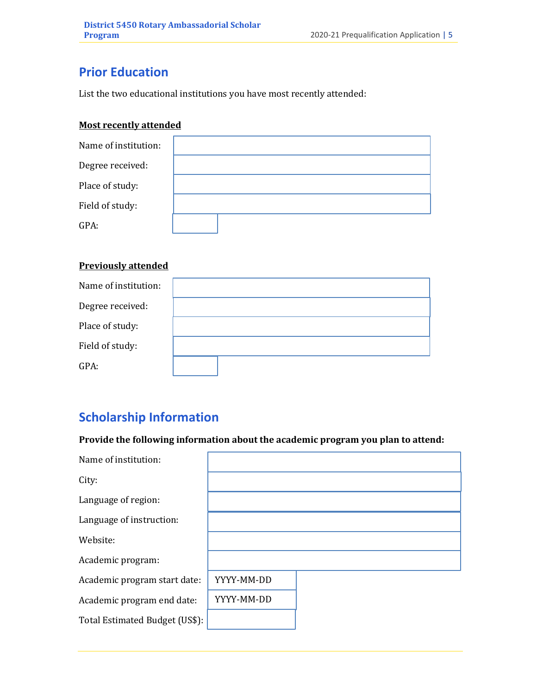### **Prior Education**

List the two educational institutions you have most recently attended:

#### **Most recently attended**

| Name of institution: |  |
|----------------------|--|
| Degree received:     |  |
| Place of study:      |  |
| Field of study:      |  |
| GPA:                 |  |

#### **Previously attended**

| Name of institution: |  |
|----------------------|--|
| Degree received:     |  |
| Place of study:      |  |
| Field of study:      |  |
| GPA:                 |  |

### **Scholarship Information**

**Provide the following information about the academic program you plan to attend:**

| Name of institution:           |            |  |
|--------------------------------|------------|--|
| City:                          |            |  |
| Language of region:            |            |  |
| Language of instruction:       |            |  |
| Website:                       |            |  |
| Academic program:              |            |  |
| Academic program start date:   | YYYY-MM-DD |  |
| Academic program end date:     | YYYY-MM-DD |  |
| Total Estimated Budget (US\$): |            |  |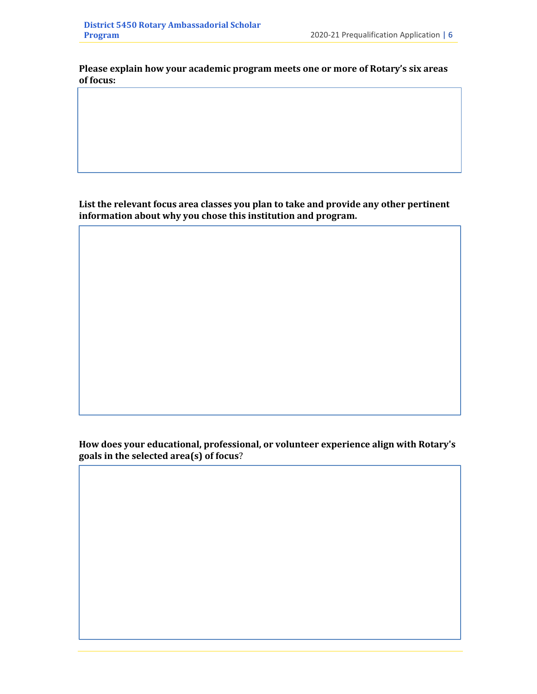**Please explain how your academic program meets one or more of Rotary's six areas of focus:**

**List the relevant focus area classes you plan to take and provide any other pertinent information about why you chose this institution and program.**

**How does your educational, professional, or volunteer experience align with Rotary's goals in the selected area(s) of focus**?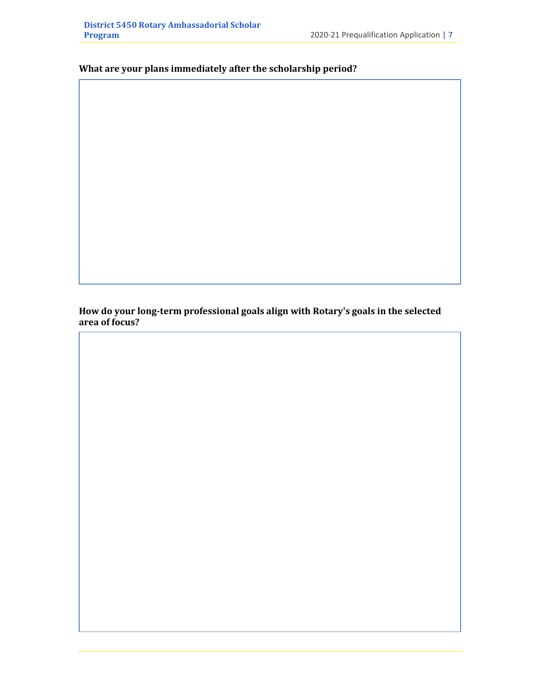#### **What are your plans immediately after the scholarship period?**

**How do your long-term professional goals align with Rotary's goals in the selected area of focus?**